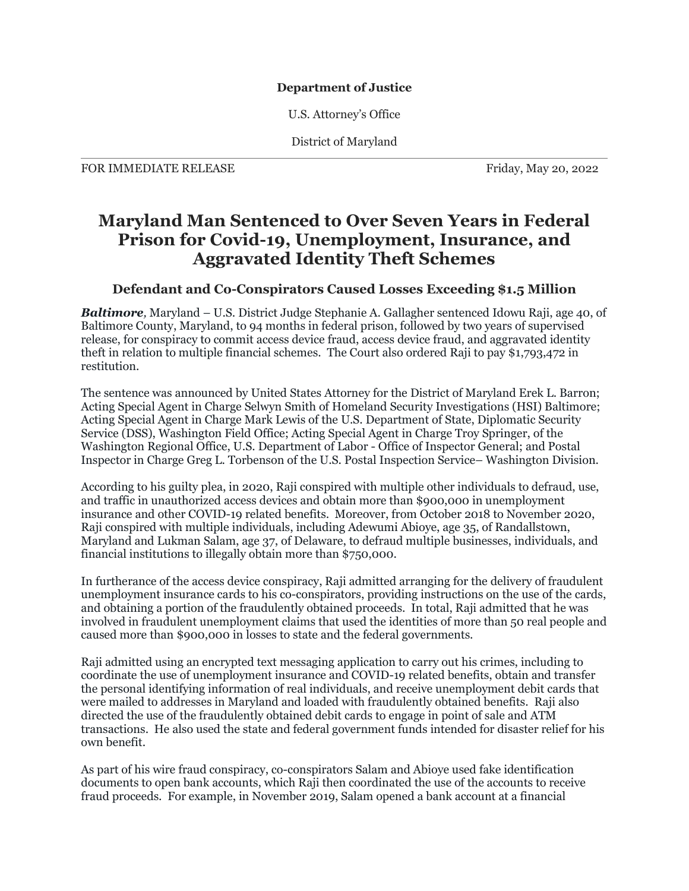## **Department of Justice**

U.S. Attorney's Office

District of Maryland

FOR IMMEDIATE RELEASE FOR IMMEDIATE RELEASE

## **Maryland Man Sentenced to Over Seven Years in Federal Prison for Covid-19, Unemployment, Insurance, and Aggravated Identity Theft Schemes**

## **Defendant and Co-Conspirators Caused Losses Exceeding \$1.5 Million**

*Baltimore,* Maryland – U.S. District Judge Stephanie A. Gallagher sentenced Idowu Raji, age 40, of Baltimore County, Maryland, to 94 months in federal prison, followed by two years of supervised release, for conspiracy to commit access device fraud, access device fraud, and aggravated identity theft in relation to multiple financial schemes. The Court also ordered Raji to pay \$1,793,472 in restitution.

The sentence was announced by United States Attorney for the District of Maryland Erek L. Barron; Acting Special Agent in Charge Selwyn Smith of Homeland Security Investigations (HSI) Baltimore; Acting Special Agent in Charge Mark Lewis of the U.S. Department of State, Diplomatic Security Service (DSS), Washington Field Office; Acting Special Agent in Charge Troy Springer, of the Washington Regional Office, U.S. Department of Labor - Office of Inspector General; and Postal Inspector in Charge Greg L. Torbenson of the U.S. Postal Inspection Service– Washington Division.

According to his guilty plea, in 2020, Raji conspired with multiple other individuals to defraud, use, and traffic in unauthorized access devices and obtain more than \$900,000 in unemployment insurance and other COVID-19 related benefits. Moreover, from October 2018 to November 2020, Raji conspired with multiple individuals, including Adewumi Abioye, age 35, of Randallstown, Maryland and Lukman Salam, age 37, of Delaware, to defraud multiple businesses, individuals, and financial institutions to illegally obtain more than \$750,000.

In furtherance of the access device conspiracy, Raji admitted arranging for the delivery of fraudulent unemployment insurance cards to his co-conspirators, providing instructions on the use of the cards, and obtaining a portion of the fraudulently obtained proceeds. In total, Raji admitted that he was involved in fraudulent unemployment claims that used the identities of more than 50 real people and caused more than \$900,000 in losses to state and the federal governments.

Raji admitted using an encrypted text messaging application to carry out his crimes, including to coordinate the use of unemployment insurance and COVID-19 related benefits, obtain and transfer the personal identifying information of real individuals, and receive unemployment debit cards that were mailed to addresses in Maryland and loaded with fraudulently obtained benefits. Raji also directed the use of the fraudulently obtained debit cards to engage in point of sale and ATM transactions. He also used the state and federal government funds intended for disaster relief for his own benefit.

As part of his wire fraud conspiracy, co-conspirators Salam and Abioye used fake identification documents to open bank accounts, which Raji then coordinated the use of the accounts to receive fraud proceeds. For example, in November 2019, Salam opened a bank account at a financial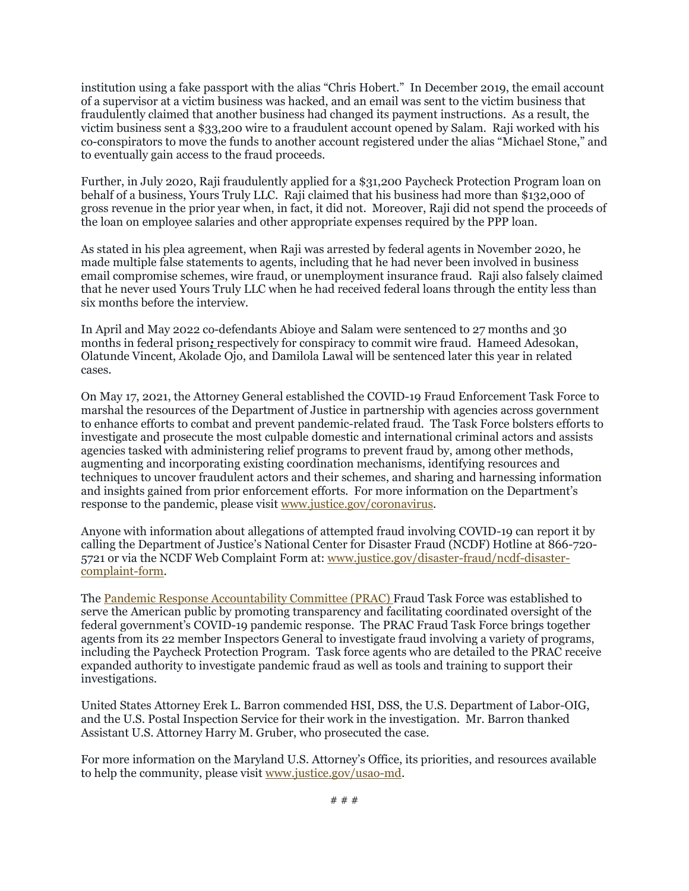institution using a fake passport with the alias "Chris Hobert." In December 2019, the email account of a supervisor at a victim business was hacked, and an email was sent to the victim business that fraudulently claimed that another business had changed its payment instructions. As a result, the victim business sent a \$33,200 wire to a fraudulent account opened by Salam. Raji worked with his co-conspirators to move the funds to another account registered under the alias "Michael Stone," and to eventually gain access to the fraud proceeds.

Further, in July 2020, Raji fraudulently applied for a \$31,200 Paycheck Protection Program loan on behalf of a business, Yours Truly LLC. Raji claimed that his business had more than \$132,000 of gross revenue in the prior year when, in fact, it did not. Moreover, Raji did not spend the proceeds of the loan on employee salaries and other appropriate expenses required by the PPP loan.

As stated in his plea agreement, when Raji was arrested by federal agents in November 2020, he made multiple false statements to agents, including that he had never been involved in business email compromise schemes, wire fraud, or unemployment insurance fraud. Raji also falsely claimed that he never used Yours Truly LLC when he had received federal loans through the entity less than six months before the interview.

In April and May 2022 co-defendants Abioye and Salam were sentenced to 27 months and 30 months in federal prison*;* respectively for conspiracy to commit wire fraud. Hameed Adesokan, Olatunde Vincent, Akolade Ojo, and Damilola Lawal will be sentenced later this year in related cases.

On May 17, 2021, the Attorney General established the COVID-19 Fraud Enforcement Task Force to marshal the resources of the Department of Justice in partnership with agencies across government to enhance efforts to combat and prevent pandemic-related fraud. The Task Force bolsters efforts to investigate and prosecute the most culpable domestic and international criminal actors and assists agencies tasked with administering relief programs to prevent fraud by, among other methods, augmenting and incorporating existing coordination mechanisms, identifying resources and techniques to uncover fraudulent actors and their schemes, and sharing and harnessing information and insights gained from prior enforcement efforts. For more information on the Department's response to the pandemic, please visit [www.justice.gov/coronavirus.](https://www.justice.gov/coronavirus)

Anyone with information about allegations of attempted fraud involving COVID-19 can report it by calling the Department of Justice's National Center for Disaster Fraud (NCDF) Hotline at 866-720- 5721 or via the NCDF Web Complaint Form at: [www.justice.gov/disaster-fraud/ncdf-disaster](https://www.justice.gov/disaster-fraud/ncdf-disaster-complaint-form)[complaint-form.](https://www.justice.gov/disaster-fraud/ncdf-disaster-complaint-form)

The [Pandemic Response Accountability Committee \(PRAC\)](https://www.pandemicoversight.gov/) Fraud Task Force was established to serve the American public by promoting transparency and facilitating coordinated oversight of the federal government's COVID-19 pandemic response. The PRAC Fraud Task Force brings together agents from its 22 member Inspectors General to investigate fraud involving a variety of programs, including the Paycheck Protection Program. Task force agents who are detailed to the PRAC receive expanded authority to investigate pandemic fraud as well as tools and training to support their investigations.

United States Attorney Erek L. Barron commended HSI, DSS, the U.S. Department of Labor-OIG, and the U.S. Postal Inspection Service for their work in the investigation. Mr. Barron thanked Assistant U.S. Attorney Harry M. Gruber, who prosecuted the case.

For more information on the Maryland U.S. Attorney's Office, its priorities, and resources available to help the community, please visit [www.justice.gov/usao-md.](https://www.justice.gov/usao-md)